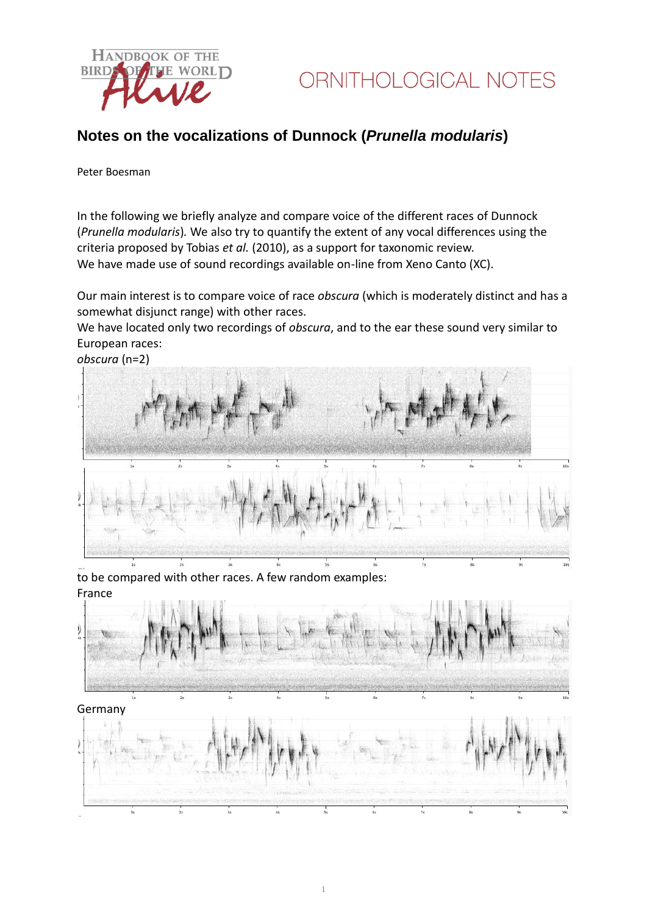

## **Notes on the vocalizations of Dunnock (***Prunella modularis***)**

#### Peter Boesman

In the following we briefly analyze and compare voice of the different races of Dunnock (*Prunella modularis*)*.* We also try to quantify the extent of any vocal differences using the criteria proposed by Tobias *et al.* (2010), as a support for taxonomic review. We have made use of sound recordings available on-line from Xeno Canto (XC).

Our main interest is to compare voice of race *obscura* (which is moderately distinct and has a somewhat disjunct range) with other races.

We have located only two recordings of *obscura*, and to the ear these sound very similar to European races:

*obscura* (n=2)



to be compared with other races. A few random examples: France